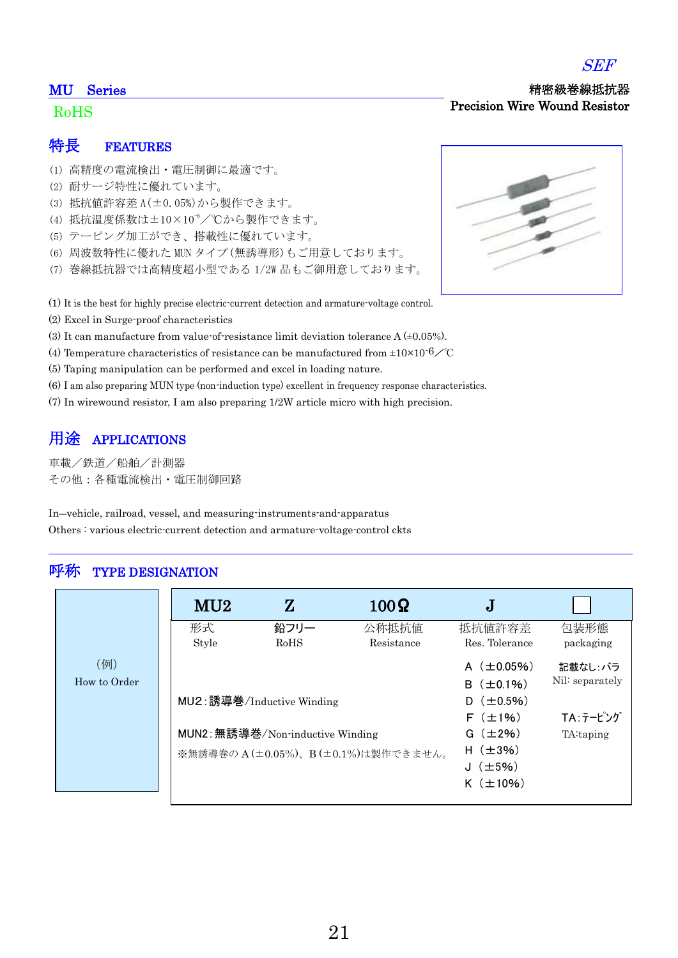## MU Series

# RoHS

### 特長 FEATURES

- (1) 高精度の電流検出・電圧制御に最適です。
- (2) 耐サージ特性に優れています。
- (3) 抵抗値許容差 A(±0.05%)から製作できます。
- (4) 抵抗温度係数は±10×10<sup>-6</sup>/℃から製作できます。
- (5) テーピング加工ができ、搭載性に優れています。
- (6) 周波数特性に優れた MUN タイプ(無誘導形)もご用意しております。
- (7) 巻線抵抗器では高精度超小型である 1/2W 品もご御用意しております。
- (1) It is the best for highly precise electric-current detection and armature-voltage control.
- (2) Excel in Surge-proof characteristics
- (3) It can manufacture from value-of-resistance limit deviation tolerance  $A (\pm 0.05\%)$ .
- (4) Temperature characteristics of resistance can be manufactured from  $\pm 10 \times 10^{-6}$  /°C
- (5) Taping manipulation can be performed and excel in loading nature.
- (6) I am also preparing MUN type (non-induction type) excellent in frequency response characteristics.
- (7) In wirewound resistor, I am also preparing 1/2W article micro with high precision.

## 用途 APPLICATIONS

車載/鉄道/船舶/計測器 その他:各種電流検出・電圧制御回路

In―vehicle, railroad, vessel, and measuring-instruments-and-apparatus Others : various electric-current detection and armature-voltage-control ckts

## 呼称 TYPE DESIGNATION

|                     | MU2         | ${\bf Z}$                                                                                           | $100\Omega$                                                                                                      | J                                                   |                   |
|---------------------|-------------|-----------------------------------------------------------------------------------------------------|------------------------------------------------------------------------------------------------------------------|-----------------------------------------------------|-------------------|
|                     | 形式<br>Style | 鉛フリー<br>RoHS                                                                                        | 公称抵抗值<br>Resistance                                                                                              | 抵抗值許容差<br>Res. Tolerance                            | 包装形態<br>packaging |
| (例)<br>How to Order |             | MU2: 誘導巻/Inductive Winding<br>MUN2: 無誘導巻/Non-inductive Winding<br>※無誘導巻のA(±0.05%)、B(±0.1%)は製作できません。 | A $(\pm 0.05\%)$<br>$B$ ( $\pm$ 0.1%)<br>$(\pm 0.5\%)$<br>D.<br>$F$ ( $\pm$ 1%)<br>$G(\pm 2\%)$<br>H $(\pm 3\%)$ | 記載なし:バラ<br>Nil: separately<br>TA:テーピング<br>TA:taping |                   |
|                     |             |                                                                                                     |                                                                                                                  | J $(\pm 5\%)$<br>$K$ ( $\pm$ 10%)                   |                   |





 精密級巻線抵抗器 Precision Wire Wound Resistor